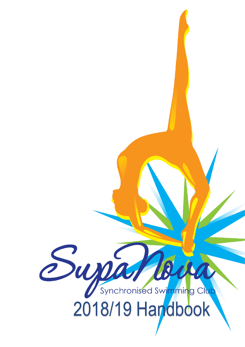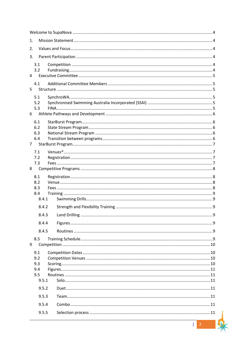| 1.                    |  |                |  |  |  |
|-----------------------|--|----------------|--|--|--|
| 2.                    |  |                |  |  |  |
| 3.                    |  |                |  |  |  |
| 3.1                   |  |                |  |  |  |
| 3.2<br>4              |  |                |  |  |  |
|                       |  |                |  |  |  |
| 4.1<br>5              |  |                |  |  |  |
| 5.1                   |  |                |  |  |  |
| 5.2                   |  |                |  |  |  |
| 5.3<br>6              |  |                |  |  |  |
| 6.1                   |  |                |  |  |  |
| 6.2                   |  |                |  |  |  |
| 6.3                   |  |                |  |  |  |
| 6.4<br>$\overline{7}$ |  |                |  |  |  |
| 7.1                   |  |                |  |  |  |
| 7.2                   |  |                |  |  |  |
| 7.3                   |  |                |  |  |  |
| 8                     |  |                |  |  |  |
| 8.1<br>8.2            |  |                |  |  |  |
| 8.3                   |  |                |  |  |  |
| 8.4                   |  |                |  |  |  |
| 8.4.1                 |  |                |  |  |  |
| 8.4.2                 |  |                |  |  |  |
|                       |  |                |  |  |  |
| 8.4.4                 |  |                |  |  |  |
| 8.4.5                 |  |                |  |  |  |
| 8.5                   |  |                |  |  |  |
| 9                     |  |                |  |  |  |
| 9.1<br>9.2            |  |                |  |  |  |
| 9.3                   |  |                |  |  |  |
| 9.4                   |  |                |  |  |  |
| 9.5<br>9.5.1          |  |                |  |  |  |
| 9.5.2                 |  |                |  |  |  |
| 9.5.3                 |  |                |  |  |  |
| 9.5.4                 |  |                |  |  |  |
| 9.5.5                 |  |                |  |  |  |
|                       |  |                |  |  |  |
|                       |  | $\overline{2}$ |  |  |  |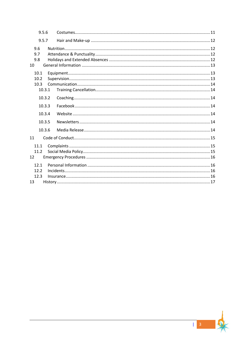| 9.5.6                          |  |
|--------------------------------|--|
| 9.5.7                          |  |
| 9.6<br>9.7<br>9.8<br>10        |  |
| 10.1<br>10.2<br>10.3<br>10.3.1 |  |
| 10.3.2                         |  |
| 10.3.3                         |  |
| 10.3.4                         |  |
| 10.3.5                         |  |
| 10.3.6                         |  |
| 11                             |  |
| 11.1<br>11.2<br>12             |  |
| 12.1<br>12.2<br>12.3<br>13     |  |

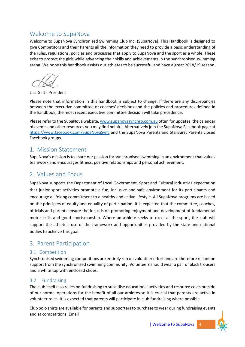# <span id="page-3-0"></span>Welcome to SupaNova

Welcome to SupaNova Synchronised Swimming Club Inc. (SupaNova). This Handbook is designed to give Competitors and their Parents all the information they need to provide a basic understanding of the rules, regulations, policies and processes that apply to SupaNova and the sport as a whole. These exist to protect the girls while advancing their skills and achievements in the synchronised swimming arena. We hope this handbook assists our athletes to be successful and have a great 2018/19 season.

Lisa Galt - President

Please note that information in this handbook is subject to change. If there are any discrepancies between the executive committee or coaches' decisions and the policies and procedures defined in the handbook, the most recent executive committee decision will take precedence.

Please refer to the SupaNova website[, www.supanovasynchro.com.au](http://www.supanovasynchro.com.au/) often for updates, the calendar of events and other resources you may find helpful. Alternatively join the SupaNova Facebook page at <https://www.facebook.com/SupaNovaSync> and the SupaNova Parents and StarBurst Parents closed Facebook groups.

# <span id="page-3-1"></span>1. Mission Statement

SupaNova's mission is to share our passion for synchronised swimming in an environment that values teamwork and encourages fitness, positive relationships and personal achievement.

# <span id="page-3-2"></span>2. Values and Focus

SupaNova supports the Department of Local Government, Sport and Cultural Industries expectation that junior sport activities promote a fun, inclusive and safe environment for its participants and encourage a lifelong commitment to a healthy and active lifestyle. All SupaNova programs are based on the principles of equity and equality of participation. It is expected that the committee, coaches, officials and parents ensure the focus is on promoting enjoyment and development of fundamental motor skills and good sportsmanship. Where an athlete seeks to excel at the sport, the club will support the athlete's use of the framework and opportunities provided by the state and national bodies to achieve this goal.

# <span id="page-3-3"></span>3. Parent Participation

## <span id="page-3-4"></span>3.1 Competition

Synchronised swimming competitions are entirely run on volunteer effort and are therefore reliant on support from the synchronised swimming community. Volunteers should wear a pair of black trousers and a white top with enclosed shoes.

## <span id="page-3-5"></span>3.2 Fundraising

The club itself also relies on fundraising to subsidise educational activities and resource costs outside of our normal operations for the benefit of all our athletes so it is crucial that parents are active in volunteer roles. It is expected that parents will participate in club fundraising where possible.

Club polo shirts are available for parents and supporters to purchase to wear during fundraising events and at competitions. Email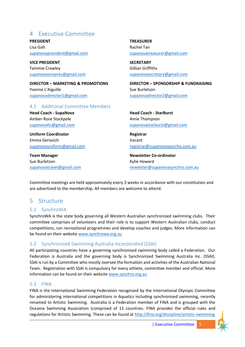# <span id="page-4-0"></span>4 Executive Committee

**PRESIDENT** Lisa Galt [supanovapresident@gmail.com](mailto:supanovapresident@gmail.com)

**VICE PRESIDENT** Tammie Crawley [supanovavicepres@gmail.com](mailto:supanovavicepres@gmail.com)

**DIRECTOR – MARKETING & PROMOTIONS** Yvonne L'Aiguille [supanovadirector1@gmail.com](mailto:supanovadirector1@gmail.com)

### <span id="page-4-1"></span>4.1 Additional Committee Members

**Head Coach - SupaNova** Amber-Rose Stackpole [supanovahc@gmail.com](mailto:supanovahc@gmail.com)

**Uniform Coordinator** Emma Gerovich [supanovauniform@gmail.com](mailto:supanovauniform@gmail.com)

**Team Manager** Sue Burletson [supanovatravel@gmail.com](mailto:supanovatravel@gmail.com) **TREASURER** Rachel Tan [supanovatreasurer@gmail.com](mailto:supanovatreasurer@gmail.com)

**SECRETARY** Gillian Griffiths [supanovasecretary@gmail.com](mailto:supanovasecretary@gmail.com)

**DIRECTOR – SPONSORSHIP & FUNDRAISING** Sue Burletson [supanovadirector2@gmail.com](mailto:supanovadirector2@gmail.com)

**Head Coach - StarBurst** Amie Thompson [supanovastarburst@gmail.com](mailto:supanovastarburst@gmail.com)

**Registrar** Vacant [registrar@supanovasyncrho.com.au](mailto:registrar@supanovasyncrho.com.au)

**Newsletter Co-ordinator** Kylie Howard [newletter@supanovasynchro.com.au](mailto:newletter@supanovasynchro.com.au) 

Committee meetings are held approximately every 3 weeks in accordance with our constitution and are advertised to the membership. All members are welcome to attend.

# <span id="page-4-2"></span>5 Structure

## <span id="page-4-3"></span>5.1 SynchroWA

SynchroWA is the state body governing all Western Australian synchronised swimming clubs. Their committee comprises of volunteers and their role is to support Western Australian clubs, conduct competitions, run recreational programmes and develop coaches and judges. More information can be found on their website [www.synchrowa.org.au](http://www.synchrowa.org.au/)

## <span id="page-4-4"></span>5.2 Synchronised Swimming Australia Incorporated (SSAI)

All participating countries have a governing synchronised swimming body called a Federation. Our Federation is Australia and the governing body is Synchronized Swimming Australia Inc. (SSAI). SSAI is run by a Committee who mostly oversee the formation and activities of the Australian National Team. Registration with SSAI is compulsory for every athlete, committee member and official. More information can be found on their website [www.synchro.org.au](http://www.synchro.org.au/)

### <span id="page-4-5"></span>5.3 FINA

FINA is the International Swimming Federation recognised by the International Olympic Committee for administering international competitions in Aquatics including synchronised swimming, recently renamed to Artistic Swimming. Australia is a Federation member of FINA and is grouped with the Oceania Swimming Association (comprised of 13 countries. FINA provides the official rules and regulations for Artistic Swimming. These can be found at<http://fina.org/discipline/artistic-swimming>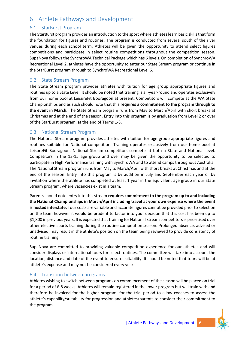# <span id="page-5-0"></span>6 Athlete Pathways and Development

## <span id="page-5-1"></span>6.1 StarBurst Program

The StarBurst program provides an introduction to the sport where athletes learn basic skills that form the foundation for figures and routines. The program is conducted from several south of the river venues during each school term. Athletes will be given the opportunity to attend select figures competitions and participate in select routine competitions throughout the competition season. SupaNova follows the SynchroWA Technical Package which has 6 levels. On completion of SynchroWA Recreational Level 2, athletes have the opportunity to enter our State Stream program or continue in the StarBurst program through to SynchroWA Recreational Level 6.

## <span id="page-5-2"></span>6.2 State Stream Program

The State Stream program provides athletes with tuition for age group appropriate figures and routines up to a State Level. It should be noted that training is all-year-round and operates exclusively from our home pool at LeisureFit Booragoon at present. Competitors will compete at the WA State Championships and as such should note that this **requires a commitment to the program through to the event in March.** The State Stream program runs from May to March/April with short breaks at Christmas and at the end of the season. Entry into this program is by graduation from Level 2 or over of the StarBurst program, at the end of Terms 1-3.

### <span id="page-5-3"></span>6.3 National Stream Program

The National Stream program provides athletes with tuition for age group appropriate figures and routines suitable for National competition. Training operates exclusively from our home pool at LeisureFit Booragoon. National Stream competitors compete at both a State and National level. Competitors in the 13-15 age group and over may be given the opportunity to be selected to participate in High Performance training with SynchroWA and to attend camps throughout Australia. The National Stream program runs from May to March/April with short breaks at Christmas and at the end of the season. Entry into this program is by audition in July and September each year or by invitation where the athlete has completed at least 1 year in the equivalent age group in our State Stream program, where vacancies exist in a team.

Parents should note entry into this stream **requires commitment to the program up to and including the National Championships in March/April including travel at your own expense where the event is hosted interstate.** Tour costs are variable and accurate figures cannot be provided prior to selection on the team however it would be prudent to factor into your decision that this cost has been up to \$1,800 in previous years. It is expected that training for National Stream competitors is prioritised over other elective sports training during the routine competition season. Prolonged absence, advised or unadvised, may result in the athlete's position on the team being reviewed to provide consistency of routine training.

SupaNova are committed to providing valuable competition experience for our athletes and will consider displays or international tours for select routines. The committee will take into account the location, distance and date of the event to ensure suitability. It should be noted that tours will be at athlete's expense and may not be considered every year.

## <span id="page-5-4"></span>6.4 Transition between programs

Athletes wishing to switch between programs on commencement of the season will be placed on trial for a period of 6-8 weeks. Athletes will remain registered in the lower program but will train with and therefore be invoiced for the higher program, for the trial period to allow coaches to assess the athlete's capability/suitability for progression and athletes/parents to consider their commitment to the program.

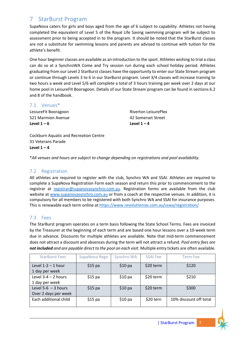# <span id="page-6-0"></span>7 StarBurst Program

SupaNova caters for girls and boys aged from the age of 6 subject to capability. Athletes not having completed the equivalent of Level 5 of the Royal Life Saving swimming program will be subject to assessment prior to being accepted in to the program. It should be noted that the StarBurst classes are not a substitute for swimming lessons and parents are advised to continue with tuition for the athlete's benefit.

One hour beginner classes are available as an introduction to the sport. Athletes wishing to trial a class can do so at a SynchroWA Come and Try session run during each school holiday period. Athletes graduating from our Level 2 StarBurst classes have the opportunity to enter our State Stream program or continue through Levels 3 to 6 in our StarBurst program. Level 3/4 classes will increase training to two hours a week and Level 5/6 will complete a total of 3 hours training per week over 2 days at our home pool in LeisureFIt Booragoon. Details of our State Stream program can be found in sections 6.2 and 8 of the handbook.

### <span id="page-6-1"></span>7.1 Venues\*

LesiureFit Booragoon 521 Marmion Avenue **Level 1 – 6**

Riverton LeisurePlex 42 Somerset Street Level  $1 - 4$ 

Cockburn Aquatic and Recreation Centre 31 Veterans Parade Level  $1 - 4$ 

\**All venues and hours are subject to change depending on registrations and pool availability.*

## <span id="page-6-2"></span>7.2 Registration

All athletes are required to register with the club, Synchro WA and SSAI. Athletes are required to complete a SupaNova Registration Form each season and return this prior to commencement to the registrar at [registrar@supanovasynchro.com.au.](mailto:registrar@supanovasynchro.com.au) Registration forms are available from the club website at [www.supanovasynchro.com.au](http://www.supanovasynchro.com.au/) or from a coach at the respective venues. In addition, it is compulsory for all members to be registered with both Synchro WA and SSAI for insurance purposes. This is renewable each term online a[t https://www.revolutionise.com.au/sswa/registration/](https://www.revolutionise.com.au/sswa/registration/)

## <span id="page-6-3"></span>7.3 Fees

The StarBurst program operates on a term basis following the State School Terms. Fees are invoiced by the Treasurer at the beginning of each term and are based one hour lessons over a 10-week term due in advance. Discounts for multiple athletes are available. Note that mid-term commencement does not attract a discount and absences during the term will not attract a refund. *Pool entry fees are not included and are payable direct to the pool on each visit*. Multiple entry tickets are often available.

| <b>StarBurst Fees</b>                         | SupaNova Rego | Synchro WA | <b>SSAI Fee</b> | Term Fee               |
|-----------------------------------------------|---------------|------------|-----------------|------------------------|
| Level $1-2-1$ hour<br>1 day per week          | $$15$ pa      | $$10$ pa   | \$20 term       | \$120                  |
| Level $3-4-2$ hours<br>1 day per week         | $$15$ pa      | $$10$ pa   | \$20 term       | \$210                  |
| Level 5-6 $-$ 3 hours<br>Over 2 days per week | $$15$ pa      | $$10$ pa   | \$20 term       | \$300                  |
| Each additional child                         | $$15$ pa      | $$10$ pa   | \$20 tern       | 10% discount off total |



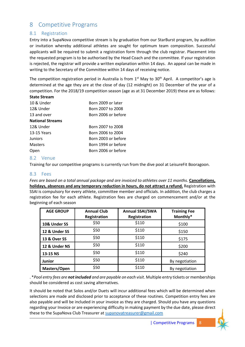# <span id="page-7-0"></span>8 Competitive Programs

## <span id="page-7-1"></span>8.1 Registration

Entry into a SupaNova competitive stream is by graduation from our StarBurst program, by audition or invitation whereby additional athletes are sought for optimum team composition. Successful applicants will be required to submit a registration form through the club registrar. Placement into the requested program is to be authorised by the Head Coach and the committee. If your registration is rejected, the registrar will provide a written explanation within 14 days. An appeal can be made in writing to the Secretary of the Committee within 14 days of receiving notice.

The competition registration period in Australia is from  $1<sup>st</sup>$  May to  $30<sup>th</sup>$  April. A competitor's age is determined at the age they are at the close of day (12 midnight) on 31 December of the year of a competition. For the 2018/19 competition season (age as at 31 December 2019) these are as follows:

#### **State Stream**

| 10 & Under              | Born 2009 or later  |
|-------------------------|---------------------|
| 12& Under               | Born 2007 to 2008   |
| 13 and over             | Born 2006 or before |
| <b>National Streams</b> |                     |
| 12& Under               | Born 2007 to 2008   |
| 13-15 Years             | Born 2006 to 2004   |
| Juniors                 | Born 2003 or before |
| <b>Masters</b>          | Born 1994 or before |
| Open                    | Born 2006 or before |

### <span id="page-7-2"></span>8.2 Venue

Training for our competitive programs is currently run from the dive pool at LeisureFit Booragoon.

### <span id="page-7-3"></span>8.3 Fees

*Fees are based on a total annual package and are invoiced to athletes over 11 months.* **Cancellations, holidays, absences and any temporary reduction in hours, do not attract a refund.** Registration with SSAI is compulsory for every athlete, committee member and officials. In addition, the club charges a registration fee for each athlete. Registration fees are charged on commencement and/or at the beginning of each season

| <b>AGE GROUP</b>        | <b>Annual Club</b><br>Registration | <b>Annual SSAI/SWA</b><br>Registration | <b>Training Fee</b><br>Monthly* |
|-------------------------|------------------------------------|----------------------------------------|---------------------------------|
| 10& Under SS            | \$50                               | \$110                                  | \$100                           |
| 12 & Under SS           | \$50                               | \$110                                  | \$150                           |
| <b>13 &amp; Over SS</b> | \$50                               | \$110                                  | \$175                           |
| 12 & Under NS           | \$50                               | \$110                                  | \$200                           |
| 13-15 NS                | \$50                               | \$110                                  | \$240                           |
| <b>Junior</b>           | \$50                               | \$110                                  | By negotiation                  |
| Masters/Open            | \$50                               | \$110                                  | By negotiation                  |

. \**Pool entry fees are not included and are payable on each visit*. Multiple entry tickets or memberships should be considered as cost saving alternatives.

It should be noted that Solos and/or Duets will incur additional fees which will be determined when selections are made and disclosed prior to acceptance of these routines. Competition entry fees are also payable and will be included in your invoice as they are charged. Should you have any questions regarding your Invoice or are experiencing difficulty in making payment by the due date, please direct these to the SupaNova Club Treasurer a[t supanovatreasurer@gmail.com](mailto:supanovatreasurer@gmail.com)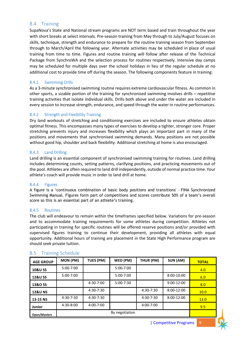### <span id="page-8-0"></span>8.4 Training

SupaNova's State and National stream programs are NOT term based and train throughout the year with short breaks at select intervals. Pre-season training from May through to July/August focuses on skills, technique, strength and endurance to prepare for the routine training season from September through to March/April the following year. Alternate activities may be scheduled in place of usual training from time to time. Figures and routine training will follow after release of the Technical Package from SynchroWA and the selection process for routines respectively. Intensive day camps may be scheduled for multiple days over the school holidays in lieu of the regular schedule at no additional cost to provide time off during the season. The following components feature in training:

#### <span id="page-8-1"></span>8.4.1 Swimming Drills

As a 3-minute synchronised swimming routine requires extreme cardiovascular fitness. As common in other sports, a sizable portion of the training for synchronised swimming involves drills – repetitive training activities that isolate individual skills. Drills both above and under the water are included in every session to increase strength, endurance, and speed through the water in routine performances.

#### <span id="page-8-2"></span>8.4.2 Strength and Flexibility Training

Dry land workouts of stretching and conditioning exercises are included to ensure athletes obtain optimal fitness. This encompasses many types of exercises to develop a tighter, stronger core. Proper stretching prevents injury and increases flexibility which plays an important part in many of the positions and movements that synchronised swimming demands. Many positions are not possible without good hip, shoulder and back flexibility. Additional stretching at home is also encouraged.

#### <span id="page-8-3"></span>8.4.3 Land Drilling

Land drilling is an essential component of synchronised swimming training for routines. Land drilling includes determining counts, setting patterns, clarifying positions, and practicing movements out of the pool. Athletes are often required to land drill independently, outside of normal practice time. Your athlete's coach will provide music in order to land drill at home.

#### <span id="page-8-4"></span>8.4.4 Figures

A figure is a 'continuous combination of basic body positions and transitions' - FINA Synchronized Swimming Manual. Figures form part of competitions and scores contribute 50% of a team's overall score so this is an essential part of an athlete's training.

#### <span id="page-8-5"></span>8.4.5 Routines

The club will endeavour to remain within the timeframes specified below. Variations for pre-season and to accommodate training requirements for some athletes during competition. Athletes not participating in training for specific routines will be offered reserve positions and/or provided with supervised figures training to continue their development, providing all athletes with equal opportunity. Additional hours of training are placement in the State High Performance program are should seek private tuition.

| <b>AGE GROUP</b>    | MON (PM)       | TUES (PM)     | WED (PM)      | THUR (PM)     | SUN (AM)     | <b>TOTAL</b> |
|---------------------|----------------|---------------|---------------|---------------|--------------|--------------|
| <b>10&amp;U SS</b>  | $5:00 - 7:00$  |               | $5:00 - 7:00$ |               |              | 4.0          |
| <b>12&amp;U SS</b>  | $5:00 - 7:00$  |               | $5:00 - 7:00$ |               | $8:00-10:00$ | 6.0          |
| 13&O SS             |                | 4:30-7:00     | $5:00 - 7:30$ |               | $9:00-12:00$ | 8.0          |
| <b>12&amp;U NS</b>  |                | 4:30-7:30     |               | $4:30 - 7:30$ | $8:00-12:00$ | 10.0         |
| 13-15 NS            | 4:30-7:30      | $4:30 - 7:30$ |               | $4:30 - 7:30$ | $8:00-12:00$ | 13.0         |
| <b>Junior</b>       | 4:30-8:00      | 4:00-7:00     |               | 4:00-7:00     |              | 9.5          |
| <b>Open/Masters</b> | By negotiation |               |               |               |              |              |

#### <span id="page-8-6"></span>8.5 Training Schedule

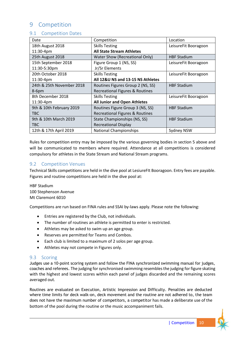# <span id="page-9-0"></span>9 Competition

## <span id="page-9-1"></span>9.1 Competition Dates

| Date                      | Competition                           | Location             |
|---------------------------|---------------------------------------|----------------------|
| 18th August 2018          | <b>Skills Testing</b>                 | LeisureFit Booragoon |
| 11:30-4pm                 | <b>All State Stream Athletes</b>      |                      |
| 25th August 2018          | <b>Water Show (Recreational Only)</b> | <b>HBF Stadium</b>   |
| 15th September 2018       | Figure Group 1 (NS, SS)               | LeisureFit Booragoon |
| 11:30-5:30pm              | Jr/Sr Elements                        |                      |
| 20th October 2018         | <b>Skills Testing</b>                 | LeisureFit Booragoon |
| 11:30-4pm                 | All 12&U NS and 13-15 NS Athletes     |                      |
| 24th & 25th November 2018 | Routines Figures Group 2 (NS, SS)     | <b>HBF Stadium</b>   |
| $8-6$ pm                  | Recreational Figures & Routines       |                      |
| 8th December 2018         | <b>Skills Testing</b>                 | LeisureFit Booragoon |
| $11:30-4pm$               | <b>All Junior and Open Athletes</b>   |                      |
| 9th & 10th February 2019  | Routines Figure Group 3 (NS, SS)      | <b>HBF Stadium</b>   |
| <b>TBC</b>                | Recreational Figures & Routines       |                      |
| 9th & 10th March 2019     | State Championships (NS, SS)          | <b>HBF Stadium</b>   |
| <b>TBC</b>                | <b>Recreational Display</b>           |                      |
| 12th & 17th April 2019    | <b>National Championships</b>         | Sydney NSW           |

Rules for competition entry may be imposed by the various governing bodies in section 5 above and will be communicated to members where required. Attendance at all competitions is considered compulsory for athletes in the State Stream and National Stream programs.

### <span id="page-9-2"></span>9.2 Competition Venues

Technical Skills competitions are held in the dive pool at LesiureFIt Booragoon. Entry fees are payable. Figures and routine competitions are held in the dive pool at:

HBF Stadium 100 Stephenson Avenue Mt Claremont 6010

Competitions are run based on FINA rules and SSAI by-laws apply. Please note the following:

- Entries are registered by the Club, not individuals.
- The number of routines an athlete is permitted to enter is restricted.
- Athletes may be asked to swim up an age group.
- Reserves are permitted for Teams and Combos.
- Each club is limited to a maximum of 2 solos per age group.
- Athletes may not compete in Figures only.

### <span id="page-9-3"></span>9.3 Scoring

Judges use a 10-point scoring system and follow the FINA synchronized swimming manual for judges, coaches and referees. The judging for synchronised swimming resembles the judging for figure skating with the highest and lowest scores within each panel of judges discarded and the remaining scores averaged out.

Routines are evaluated on Execution, Artistic Impression and Difficulty. Penalties are deducted where time limits for deck walk-on, deck movement and the routine are not adhered to, the team does not have the maximum number of competitors, a competitor has made a deliberate use of the bottom of the pool during the routine or the music accompaniment fails.

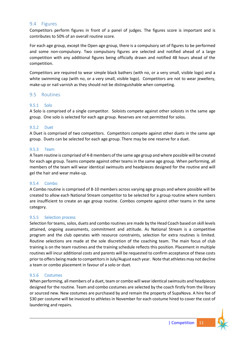### <span id="page-10-0"></span>9.4 Figures

Competitors perform figures in front of a panel of judges. The figures score is important and is contributes to 50% of an overall routine score.

For each age group, except the Open age group, there is a compulsory set of figures to be performed and some non-compulsory. Two compulsory figures are selected and notified ahead of a large competition with any additional figures being officially drawn and notified 48 hours ahead of the competition.

Competitors are required to wear simple black bathers (with no, or a very small, visible logo) and a white swimming cap (with no, or a very small, visible logo). Competitors are not to wear jewellery, make-up or nail varnish as they should not be distinguishable when competing.

### <span id="page-10-1"></span>9.5 Routines

#### <span id="page-10-2"></span>9.5.1 Solo

A Solo is comprised of a single competitor. Soloists compete against other soloists in the same age group. One solo is selected for each age group. Reserves are not permitted for solos.

#### <span id="page-10-3"></span>9.5.2 Duet

A Duet is comprised of two competitors. Competitors compete against other duets in the same age group. Duets can be selected for each age group. There may be one reserve for a duet.

#### <span id="page-10-4"></span>9.5.3 Team

A Team routine is comprised of 4-8 members of the same age group and where possible will be created for each age group. Teams compete against other teams in the same age group. When performing, all members of the team will wear identical swimsuits and headpieces designed for the routine and will gel the hair and wear make-up.

#### <span id="page-10-5"></span>9.5.4 Combo

A Combo routine is comprised of 8-10 members across varying age groups and where possible will be created to allow each National Stream competitor to be selected for a group routine where numbers are insufficient to create an age group routine. Combos compete against other teams in the same category.

#### <span id="page-10-6"></span>9.5.5 Selection process

Selection for teams, solos, duets and combo routines are made by the Head Coach based on skill levels attained, ongoing assessments, commitment and attitude. As National Stream is a competitive program and the club operates with resource constraints, selection for extra routines is limited. Routine selections are made at the sole discretion of the coaching team. The main focus of club training is on the team routines and the training schedule reflects this position. Placement in multiple routines will incur additional costs and parents will be requested to confirm acceptance of these costs prior to offers being made to competitors in July/August each year. Note that athletes may not decline a team or combo placement in favour of a solo or duet.

#### <span id="page-10-7"></span>9.5.6 Costumes

When performing, all members of a duet, team or combo will wear identical swimsuits and headpieces designed for the routine. Team and combo costumes are selected by the coach firstly from the library or sourced new. New costumes are purchased by and remain the property of SupaNova. A hire fee of \$30 per costume will be invoiced to athletes in November for each costume hired to cover the cost of laundering and repairs.

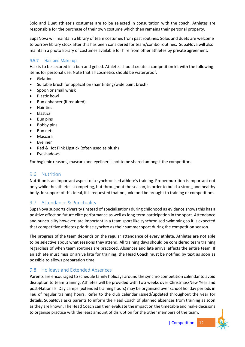Solo and Duet athlete's costumes are to be selected in consultation with the coach. Athletes are responsible for the purchase of their own costume which then remains their personal property.

SupaNova will maintain a library of team costumes from past routines. Solos and duets are welcome to borrow library stock after this has been considered for team/combo routines. SupaNova will also maintain a photo library of costumes available for hire from other athletes by private agreement.

### <span id="page-11-0"></span>9.5.7 Hair and Make-up

Hair is to be secured in a bun and gelled. Athletes should create a competition kit with the following items for personal use. Note that all cosmetics should be waterproof.

- **Gelatine**
- Suitable brush for application (hair tinting/wide paint brush)
- Spoon or small whisk
- Plastic bowl
- Bun enhancer (if required)
- Hair ties
- Elastics
- Bun pins
- Bobby pins
- Bun nets
- Mascara
- Eyeliner
- Red & Hot Pink Lipstick (often used as blush)
- Eyeshadows

For hygienic reasons, mascara and eyeliner is not to be shared amongst the competitors.

## <span id="page-11-1"></span>9.6 Nutrition

Nutrition is an important aspect of a synchronised athlete's training. Proper nutrition is important not only while the athlete is competing, but throughout the season, in order to build a strong and healthy body. In support of this ideal, it is requested that no junk food be brought to training or competitions.

## <span id="page-11-2"></span>9.7 Attendance & Punctuality

SupaNova supports diversity (instead of specialisation) during childhood as evidence shows this has a positive effect on future elite performance as well as long-term participation in the sport. Attendance and punctuality however, are important in a team sport like synchronised swimming so it is expected that competitive athletes prioritise synchro as their summer sport during the competition season.

The progress of the team depends on the regular attendance of every athlete. Athletes are not able to be selective about what sessions they attend. All training days should be considered team training regardless of when team routines are practiced. Absences and late arrival affects the entire team. If an athlete must miss or arrive late for training, the Head Coach must be notified by text as soon as possible to allows preparation time.

### <span id="page-11-3"></span>9.8 Holidays and Extended Absences

Parents are encouraged to schedule family holidays around the synchro competition calendar to avoid disruption to team training. Athletes will be provided with two weeks over Christmas/New Year and post-Nationals. Day camps (extended training hours) may be organised over school holiday periods in lieu of regular training hours, Refer to the club calendar issued/updated throughout the year for details. SupaNova asks parents to inform the Head Coach of planned absences from training as soon as they are known. The Head Coach can then evaluate the impact on the timetable and make decisions to organise practice with the least amount of disruption for the other members of the team.

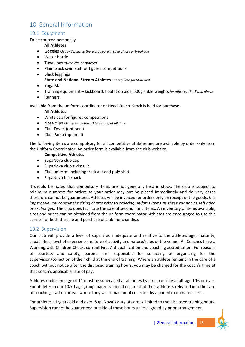# <span id="page-12-0"></span>10 General Information

## <span id="page-12-1"></span>10.1 Equipment

### To be sourced personally

### **All Athletes**

- Goggles *ideally 2 pairs so there is a spare in case of loss or breakage*
- Water bottle
- Towel *club towels can be ordered*
- Plain black swimsuit for figures competitions
- Black leggings

#### **State and National Stream Athletes** *not required for StarBursts*

- Yoga Mat
- Training equipment kickboard, floatation aids, 500g ankle weights *for athletes 13-15 and above*
- Runners

Available from the uniform coordinator or Head Coach. Stock is held for purchase.

### **All Athletes**

- White cap for figures competitions
- Nose clips *ideally 3-4 in the athlete's bag at all times*
- Club Towel (optional)
- Club Parka (optional)

The following items are compulsory for all competitive athletes and are available by order only from the Uniform Coordinator. An order form is available from the club website.

### **Competitive Athletes**

- SupaNova club cap
- SupaNova club swimsuit
- Club uniform including tracksuit and polo shirt
- SupaNova backpack

It should be noted that compulsory items are not generally held in stock. The club is subject to minimum numbers for orders so your order may not be placed immediately and delivery dates therefore cannot be guaranteed. Athletes will be invoiced for orders only on receipt of the goods. *It is imperative you consult the sizing charts prior to ordering uniform items as these cannot be refunded or exchanged.* The club does facilitate the sale of second hand items. An inventory of items available, sizes and prices can be obtained from the uniform coordinator. Athletes are encouraged to use this service for both the sale and purchase of club merchandise.

### <span id="page-12-2"></span>10.2 Supervision

Our club will provide a level of supervision adequate and relative to the athletes age, maturity, capabilities, level of experience, nature of activity and nature/rules of the venue. All Coaches have a Working with Children Check, current First Aid qualification and coaching accreditation. For reasons of courtesy and safety, parents are responsible for collecting or organising for the supervision/collection of their child at the end of training. Where an athlete remains in the care of a coach without notice after the disclosed training hours, you may be charged for the coach's time at that coach's applicable rate of pay.

Athletes under the age of 11 must be supervised at all times by a responsible adult aged 16 or over. For athletes in our 10&U age group, parents should ensure that their athlete is released into the care of coaching staff on arrival where they will remain until collected by a parent/nominated carer.

For athletes 11 years old and over, SupaNova's duty of care is limited to the disclosed training hours. Supervision cannot be guaranteed outside of these hours unless agreed by prior arrangement.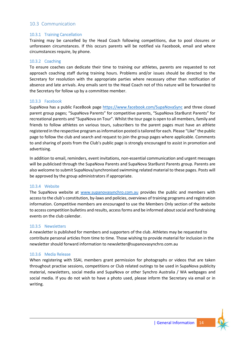## <span id="page-13-0"></span>10.3 Communication

#### <span id="page-13-1"></span>10.3.1 Training Cancellation

Training may be cancelled by the Head Coach following competitions, due to pool closures or unforeseen circumstances. If this occurs parents will be notified via Facebook, email and where circumstances require, by phone.

#### <span id="page-13-2"></span>10.3.2 Coaching

To ensure coaches can dedicate their time to training our athletes, parents are requested to not approach coaching staff during training hours. Problems and/or issues should be directed to the Secretary for resolution with the appropriate parties where necessary other than notification of absence and late arrivals. Any emails sent to the Head Coach not of this nature will be forwarded to the Secretary for follow up by a committee member.

#### <span id="page-13-3"></span>10.3.3 Facebook

SupaNova has a public FaceBook page<https://www.facebook.com/SupaNovaSync> and three closed parent group pages; "SupaNova Parents" for competitive parents, "SupaNova StarBurst Parents" for recreational parents and "SupaNova on Tour". Whilst the tour page is open to all members, family and friends to follow athletes on various tours, subscribers to the parent pages must have an athlete registered in the respective program as information posted is tailored for each. Please "Like" the public page to follow the club and search and request to join the group pages where applicable. Comments to and sharing of posts from the Club's public page is strongly encouraged to assist in promotion and advertising.

In addition to email, reminders, event invitations, non-essential communication and urgent messages will be publicised through the SupaNova Parents and SupaNova StarBurst Parents group. Parents are also welcome to submit SupaNova/synchronised swimming related material to these pages. Posts will be approved by the group administrators if appropriate.

#### <span id="page-13-4"></span>10.3.4 Website

The SupaNova website at [www.supanovasynchro.com.au](http://www.supanovasynchro.com.au/) provides the public and members with access to the club's constitution, by-laws and policies, overviews of training programs and registration information. Competitive members are encouraged to use the Members Only section of the website to access competition bulletins and results, access forms and be informed about social and fundraising events on the club calendar.

#### <span id="page-13-5"></span>10.3.5 Newsletters

A newsletter is published for members and supporters of the club. Athletes may be requested to contribute personal articles from time to time. Those wishing to provide material for inclusion in the newsletter should forward information to newsletter@supanovasynchro.com.au

#### <span id="page-13-6"></span>10.3.6 Media Release

When registering with SSAI, members grant permission for photographs or videos that are taken throughout practise sessions, competitions or Club related outings to be used in SupaNova publicity material, newsletters, social media and SupaNova or other Synchro Australia / WA webpages and social media. If you do not wish to have a photo used, please inform the Secretary via email or in writing.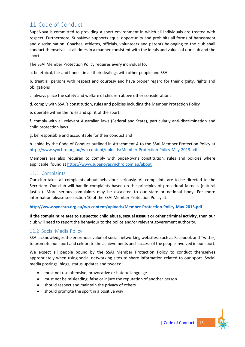# <span id="page-14-0"></span>11 Code of Conduct

SupaNova is committed to providing a sport environment in which all individuals are treated with respect. Furthermore, SupaNova supports equal opportunity and prohibits all forms of harassment and discrimination. Coaches, athletes, officials, volunteers and parents belonging to the club shall conduct themselves at all times in a manner consistent with the ideals and values of our club and the sport.

The SSAI Member Protection Policy requires every individual to:

a. be ethical, fair and honest in all their dealings with other people and SSAI

b. treat all persons with respect and courtesy and have proper regard for their dignity, rights and obligations

c. always place the safety and welfare of children above other considerations

d. comply with SSAI's constitution, rules and policies including the Member Protection Policy

e. operate within the rules and spirit of the sport

f. comply with all relevant Australian laws (Federal and State), particularly anti-discrimination and child protection laws

g. be responsible and accountable for their conduct and

h. abide by the Code of Conduct outlined in Attachment A to the SSAI Member Protection Policy at <http://www.synchro.org.au/wp-content/uploads/Member-Protection-Policy-May-2013.pdf>

Members are also required to comply with SupaNova's constitution, rules and policies where applicable, found at<https://www.supanovasynchro.com.au/about>

### <span id="page-14-1"></span>11.1 Complaints

Our club takes all complaints about behaviour seriously. All complaints are to be directed to the Secretary. Our club will handle complaints based on the principles of procedural fairness (natural justice). More serious complaints may be escalated to our state or national body. For more information please see section 10 of the SSAI Member Protection Policy at:

**<http://www.synchro.org.au/wp-content/uploads/Member-Protection-Policy-May-2013.pdf>**

**If the complaint relates to suspected child abuse, sexual assault or other criminal activity, then our** club will need to report the behaviour to the police and/or relevant government authority.

## <span id="page-14-2"></span>11.2 Social Media Policy

SSAI acknowledges the enormous value of social networking websites, such as Facebook and Twitter, to promote our sport and celebrate the achievements and success of the people involved in our sport.

We expect all people bound by the SSAI Member Protection Policy to conduct themselves appropriately when using social networking sites to share information related to our sport. Social media postings, blogs, status updates and tweets:

- must not use offensive, provocative or hateful language
- must not be misleading, false or injure the reputation of another person
- should respect and maintain the privacy of others
- should promote the sport in a positive way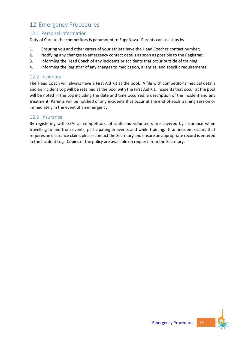# <span id="page-15-0"></span>12 Emergency Procedures

## <span id="page-15-1"></span>12.1 Personal Information

Duty of Care to the competitors is paramount to SupaNova. Parents can assist us by:

- 1. Ensuring you and other carers of your athlete have the Head Coaches contact number;
- 2. Notifying any changes to emergency contact details as soon as possible to the Registrar;
- 3. Informing the Head Coach of any incidents or accidents that occur outside of training
- 4. Informing the Registrar of any changes to medication, allergies, and specific requirements.

## <span id="page-15-2"></span>12.2 Incidents

The Head Coach will always have a First Aid Kit at the pool. A file with competitor's medical details and an Incident Log will be retained at the pool with the First Aid Kit. Incidents that occur at the pool will be noted in the Log including the date and time occurred, a description of the incident and any treatment. Parents will be notified of any incidents that occur at the end of each training session or immediately in the event of an emergency.

## <span id="page-15-3"></span>12.3 Insurance

By registering with SSAI all competitors, officials and volunteers are covered by insurance when travelling to and from events, participating in events and while training. If an incident occurs that requires an insurance claim, please contact the Secretary and ensure an appropriate record is entered in the Incident Log. Copies of the policy are available on request from the Secretary.